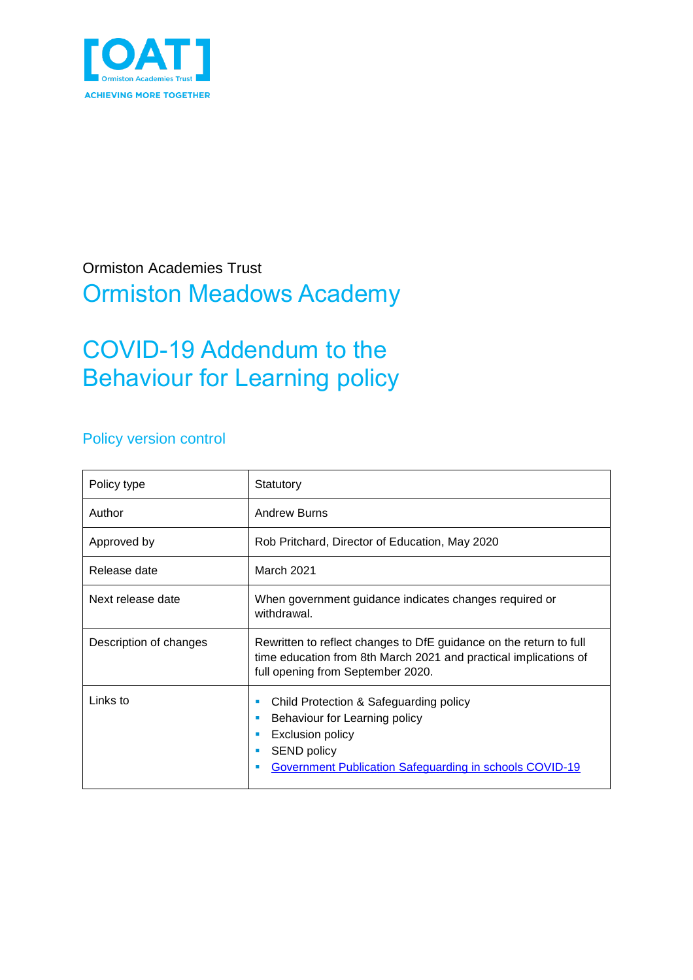

### Ormiston Academies Trust Ormiston Meadows Academy

# COVID-19 Addendum to the Behaviour for Learning policy

### Policy version control

| Policy type            | Statutory                                                                                                                                                                              |
|------------------------|----------------------------------------------------------------------------------------------------------------------------------------------------------------------------------------|
| Author                 | <b>Andrew Burns</b>                                                                                                                                                                    |
| Approved by            | Rob Pritchard, Director of Education, May 2020                                                                                                                                         |
| Release date           | <b>March 2021</b>                                                                                                                                                                      |
| Next release date      | When government guidance indicates changes required or<br>withdrawal.                                                                                                                  |
| Description of changes | Rewritten to reflect changes to DfE guidance on the return to full<br>time education from 8th March 2021 and practical implications of<br>full opening from September 2020.            |
| Links to               | Child Protection & Safeguarding policy<br>п<br>Behaviour for Learning policy<br>٠<br>Exclusion policy<br><b>SEND policy</b><br>Government Publication Safeguarding in schools COVID-19 |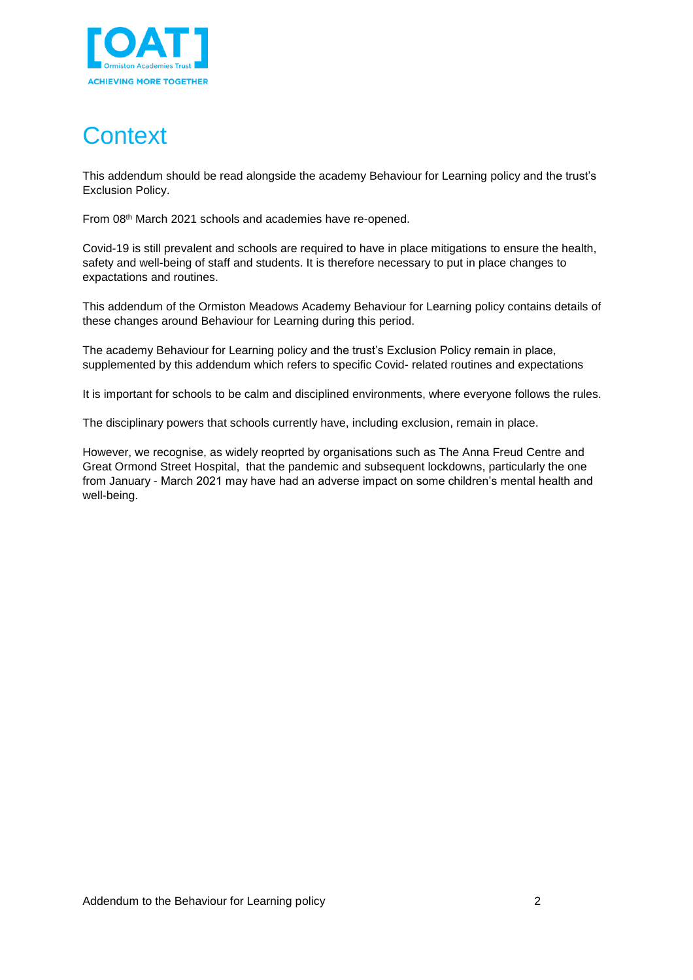

# **Context**

This addendum should be read alongside the academy Behaviour for Learning policy and the trust's Exclusion Policy.

From 08th March 2021 schools and academies have re-opened.

Covid-19 is still prevalent and schools are required to have in place mitigations to ensure the health, safety and well-being of staff and students. It is therefore necessary to put in place changes to expactations and routines.

This addendum of the Ormiston Meadows Academy Behaviour for Learning policy contains details of these changes around Behaviour for Learning during this period.

The academy Behaviour for Learning policy and the trust's Exclusion Policy remain in place, supplemented by this addendum which refers to specific Covid- related routines and expectations

It is important for schools to be calm and disciplined environments, where everyone follows the rules.

The disciplinary powers that schools currently have, including exclusion, remain in place.

However, we recognise, as widely reoprted by organisations such as The Anna Freud Centre and Great Ormond Street Hospital, that the pandemic and subsequent lockdowns, particularly the one from January - March 2021 may have had an adverse impact on some children's mental health and well-being.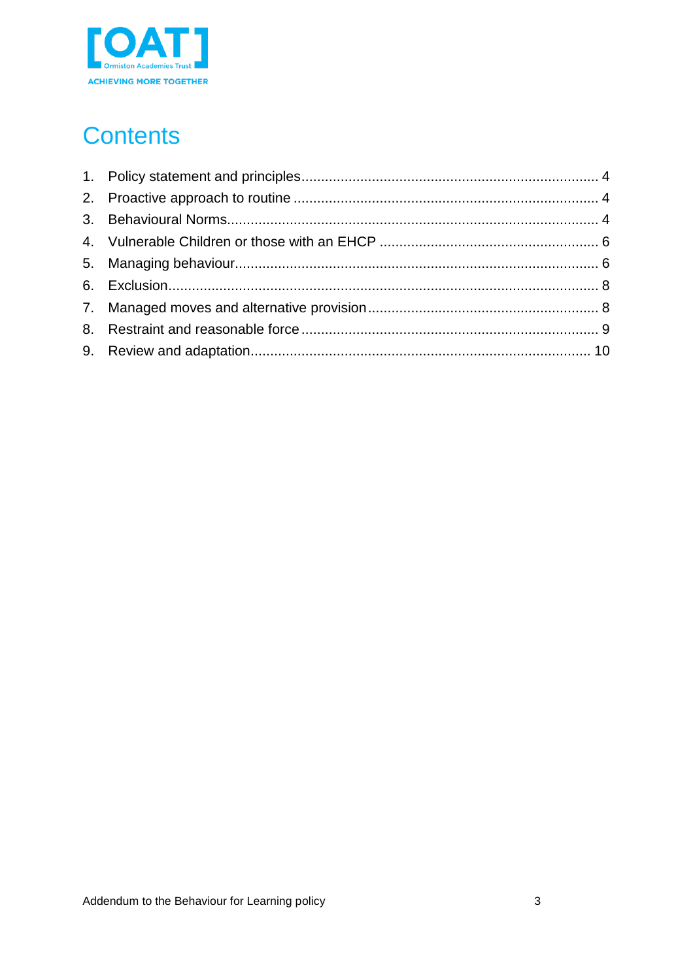

# **Contents**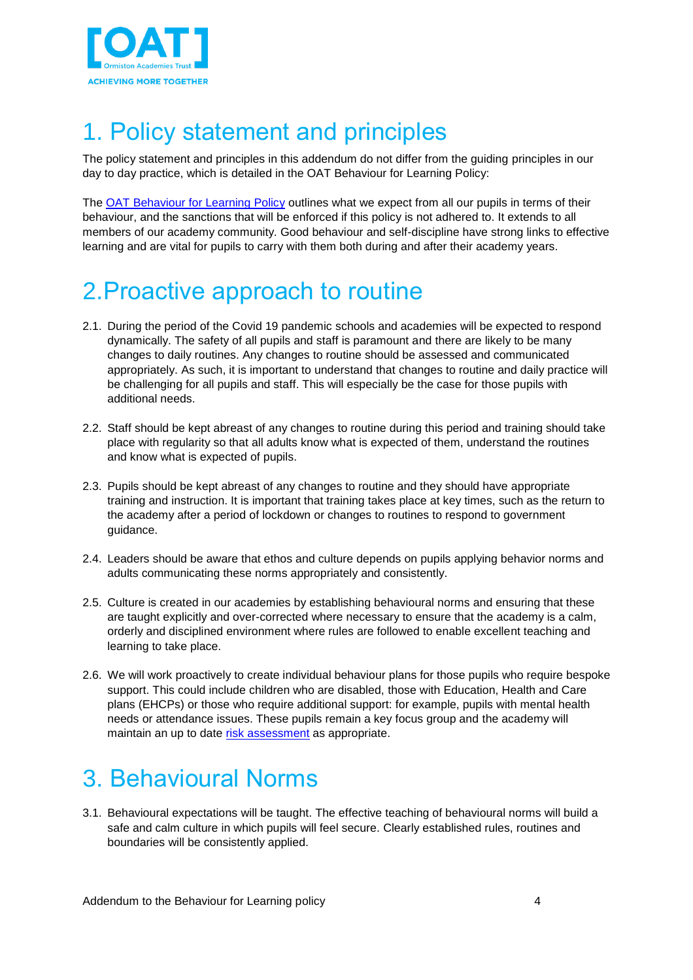

# <span id="page-3-0"></span>1. Policy statement and principles

The policy statement and principles in this addendum do not differ from the guiding principles in our day to day practice, which is detailed in the OAT Behaviour for Learning Policy:

The [OAT Behaviour for Learning Policy](https://oatoe.sharepoint.com/:w:/r/sites/oatnet/governance/_layouts/15/Doc.aspx?sourcedoc=%7B08fd057c-99e3-4487-a0b6-d06ee8de21ff%7D&action=view&wdAccPdf=0&wdparaid=5763F9DC) outlines what we expect from all our pupils in terms of their behaviour, and the sanctions that will be enforced if this policy is not adhered to. It extends to all members of our academy community. Good behaviour and self-discipline have strong links to effective learning and are vital for pupils to carry with them both during and after their academy years.

# <span id="page-3-1"></span>2.Proactive approach to routine

- 2.1. During the period of the Covid 19 pandemic schools and academies will be expected to respond dynamically. The safety of all pupils and staff is paramount and there are likely to be many changes to daily routines. Any changes to routine should be assessed and communicated appropriately. As such, it is important to understand that changes to routine and daily practice will be challenging for all pupils and staff. This will especially be the case for those pupils with additional needs.
- 2.2. Staff should be kept abreast of any changes to routine during this period and training should take place with regularity so that all adults know what is expected of them, understand the routines and know what is expected of pupils.
- 2.3. Pupils should be kept abreast of any changes to routine and they should have appropriate training and instruction. It is important that training takes place at key times, such as the return to the academy after a period of lockdown or changes to routines to respond to government guidance.
- 2.4. Leaders should be aware that ethos and culture depends on pupils applying behavior norms and adults communicating these norms appropriately and consistently.
- 2.5. Culture is created in our academies by establishing behavioural norms and ensuring that these are taught explicitly and over-corrected where necessary to ensure that the academy is a calm, orderly and disciplined environment where rules are followed to enable excellent teaching and learning to take place.
- 2.6. We will work proactively to create individual behaviour plans for those pupils who require bespoke support. This could include children who are disabled, those with Education, Health and Care plans (EHCPs) or those who require additional support: for example, pupils with mental health needs or attendance issues. These pupils remain a key focus group and the academy will maintain an up to date [risk assessment](https://oatoe.sharepoint.com/:x:/r/sites/governance/Shared%20Documents/Governance%20Guidance/Equality%20guidance/Pupils%20of%20concern%20risk%20assessment.xlsx?d=w62793519375e4af0979138d2d56e7ce2&csf=1&web=1&e=Z244uz) as appropriate.

# <span id="page-3-2"></span>3. Behavioural Norms

3.1. Behavioural expectations will be taught. The effective teaching of behavioural norms will build a safe and calm culture in which pupils will feel secure. Clearly established rules, routines and boundaries will be consistently applied.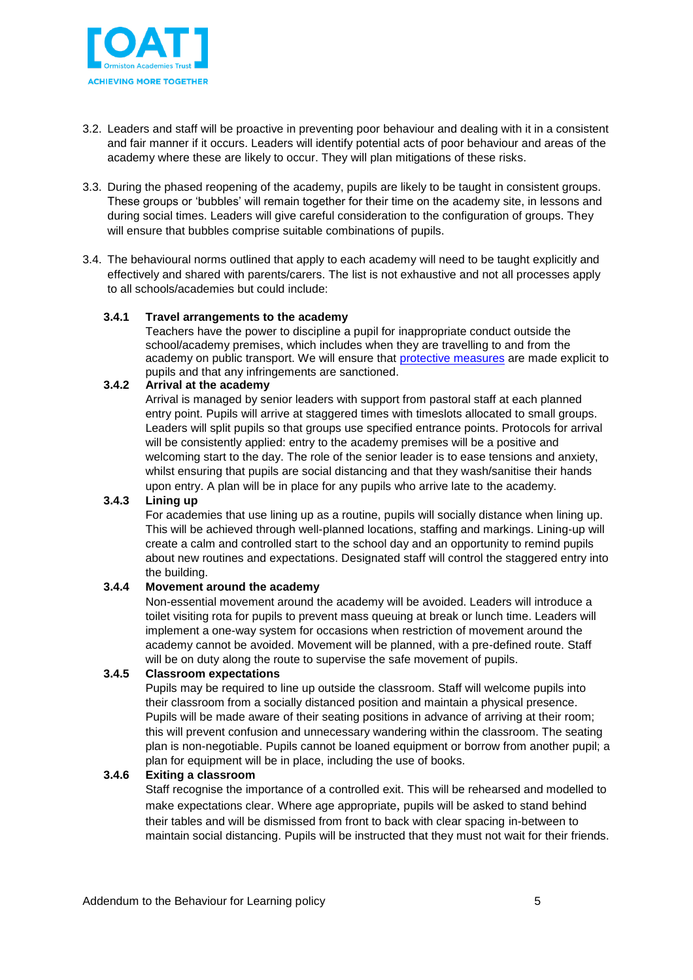

- 3.2. Leaders and staff will be proactive in preventing poor behaviour and dealing with it in a consistent and fair manner if it occurs. Leaders will identify potential acts of poor behaviour and areas of the academy where these are likely to occur. They will plan mitigations of these risks.
- 3.3. During the phased reopening of the academy, pupils are likely to be taught in consistent groups. These groups or 'bubbles' will remain together for their time on the academy site, in lessons and during social times. Leaders will give careful consideration to the configuration of groups. They will ensure that bubbles comprise suitable combinations of pupils.
- 3.4. The behavioural norms outlined that apply to each academy will need to be taught explicitly and effectively and shared with parents/carers. The list is not exhaustive and not all processes apply to all schools/academies but could include:

#### **3.4.1 Travel arrangements to the academy**

Teachers have the power to discipline a pupil for inappropriate conduct outside the school/academy premises, which includes when they are travelling to and from the academy on public transport. We will ensure that [protective measures](https://www.gov.uk/government/publications/coronavirus-covid-19-implementing-protective-measures-in-education-and-childcare-settings/coronavirus-covid-19-implementing-protective-measures-in-education-and-childcare-settings) are made explicit to pupils and that any infringements are sanctioned.

#### **3.4.2 Arrival at the academy**

Arrival is managed by senior leaders with support from pastoral staff at each planned entry point. Pupils will arrive at staggered times with timeslots allocated to small groups. Leaders will split pupils so that groups use specified entrance points. Protocols for arrival will be consistently applied: entry to the academy premises will be a positive and welcoming start to the day. The role of the senior leader is to ease tensions and anxiety, whilst ensuring that pupils are social distancing and that they wash/sanitise their hands upon entry. A plan will be in place for any pupils who arrive late to the academy.

#### **3.4.3 Lining up**

For academies that use lining up as a routine, pupils will socially distance when lining up. This will be achieved through well-planned locations, staffing and markings. Lining-up will create a calm and controlled start to the school day and an opportunity to remind pupils about new routines and expectations. Designated staff will control the staggered entry into the building.

#### **3.4.4 Movement around the academy**

Non-essential movement around the academy will be avoided. Leaders will introduce a toilet visiting rota for pupils to prevent mass queuing at break or lunch time. Leaders will implement a one-way system for occasions when restriction of movement around the academy cannot be avoided. Movement will be planned, with a pre-defined route. Staff will be on duty along the route to supervise the safe movement of pupils.

#### **3.4.5 Classroom expectations**

Pupils may be required to line up outside the classroom. Staff will welcome pupils into their classroom from a socially distanced position and maintain a physical presence. Pupils will be made aware of their seating positions in advance of arriving at their room; this will prevent confusion and unnecessary wandering within the classroom. The seating plan is non-negotiable. Pupils cannot be loaned equipment or borrow from another pupil; a plan for equipment will be in place, including the use of books.

#### **3.4.6 Exiting a classroom**

Staff recognise the importance of a controlled exit. This will be rehearsed and modelled to make expectations clear. Where age appropriate, pupils will be asked to stand behind their tables and will be dismissed from front to back with clear spacing in-between to maintain social distancing. Pupils will be instructed that they must not wait for their friends.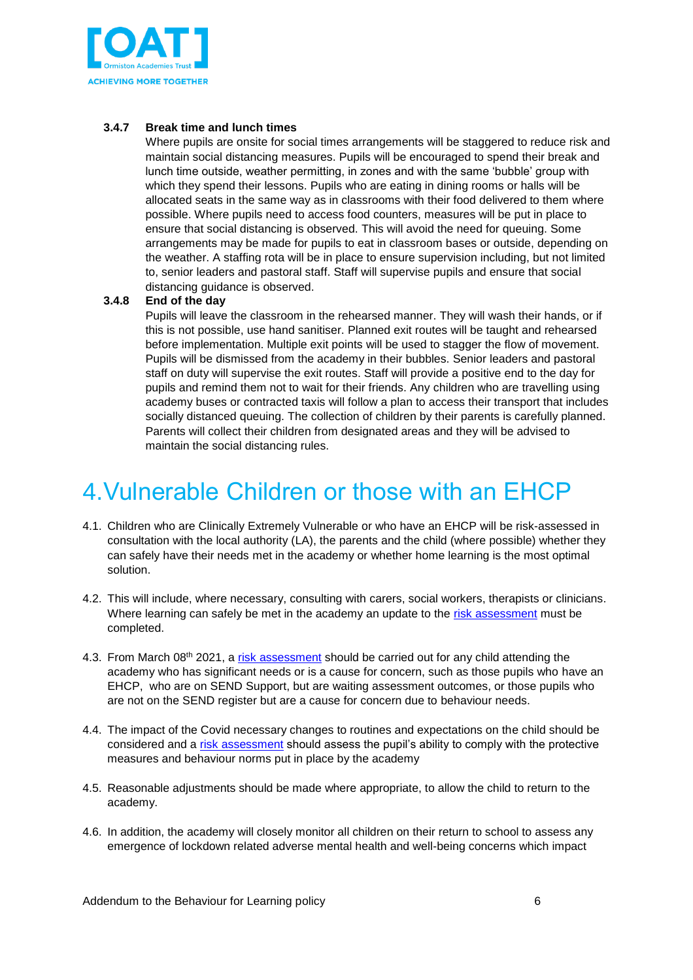

#### **3.4.7 Break time and lunch times**

Where pupils are onsite for social times arrangements will be staggered to reduce risk and maintain social distancing measures. Pupils will be encouraged to spend their break and lunch time outside, weather permitting, in zones and with the same 'bubble' group with which they spend their lessons. Pupils who are eating in dining rooms or halls will be allocated seats in the same way as in classrooms with their food delivered to them where possible. Where pupils need to access food counters, measures will be put in place to ensure that social distancing is observed. This will avoid the need for queuing. Some arrangements may be made for pupils to eat in classroom bases or outside, depending on the weather. A staffing rota will be in place to ensure supervision including, but not limited to, senior leaders and pastoral staff. Staff will supervise pupils and ensure that social distancing guidance is observed.

#### **3.4.8 End of the day**

Pupils will leave the classroom in the rehearsed manner. They will wash their hands, or if this is not possible, use hand sanitiser. Planned exit routes will be taught and rehearsed before implementation. Multiple exit points will be used to stagger the flow of movement. Pupils will be dismissed from the academy in their bubbles. Senior leaders and pastoral staff on duty will supervise the exit routes. Staff will provide a positive end to the day for pupils and remind them not to wait for their friends. Any children who are travelling using academy buses or contracted taxis will follow a plan to access their transport that includes socially distanced queuing. The collection of children by their parents is carefully planned. Parents will collect their children from designated areas and they will be advised to maintain the social distancing rules.

### <span id="page-5-0"></span>4.Vulnerable Children or those with an EHCP

- <span id="page-5-1"></span>4.1. Children who are Clinically Extremely Vulnerable or who have an EHCP will be risk-assessed in consultation with the local authority (LA), the parents and the child (where possible) whether they can safely have their needs met in the academy or whether home learning is the most optimal solution.
- 4.2. This will include, where necessary, consulting with carers, social workers, therapists or clinicians. Where learning can safely be met in the academy an update to the [risk assessment](https://oatoe.sharepoint.com/:x:/r/sites/governance/Shared%20Documents/Governance%20Guidance/Equality%20guidance/Pupils%20of%20concern%20risk%20assessment.xlsx?d=w62793519375e4af0979138d2d56e7ce2&csf=1&web=1&e=Z244uz) must be completed.
- 4.3. From March 08<sup>th</sup> 2021, a [risk assessment](https://oatoe.sharepoint.com/:x:/r/sites/governance/Shared%20Documents/Governance%20Guidance/Equality%20guidance/Pupils%20of%20concern%20risk%20assessment.xlsx?d=w62793519375e4af0979138d2d56e7ce2&csf=1&web=1&e=Z244uz) should be carried out for any child attending the academy who has significant needs or is a cause for concern, such as those pupils who have an EHCP, who are on SEND Support, but are waiting assessment outcomes, or those pupils who are not on the SEND register but are a cause for concern due to behaviour needs.
- 4.4. The impact of the Covid necessary changes to routines and expectations on the child should be considered and a [risk assessment](https://oatoe.sharepoint.com/:x:/r/sites/governance/Shared%20Documents/Governance%20Guidance/Equality%20guidance/Pupils%20of%20concern%20risk%20assessment.xlsx?d=w62793519375e4af0979138d2d56e7ce2&csf=1&web=1&e=Z244uz) should assess the pupil's ability to comply with the protective measures and behaviour norms put in place by the academy
- 4.5. Reasonable adjustments should be made where appropriate, to allow the child to return to the academy.
- 4.6. In addition, the academy will closely monitor all children on their return to school to assess any emergence of lockdown related adverse mental health and well-being concerns which impact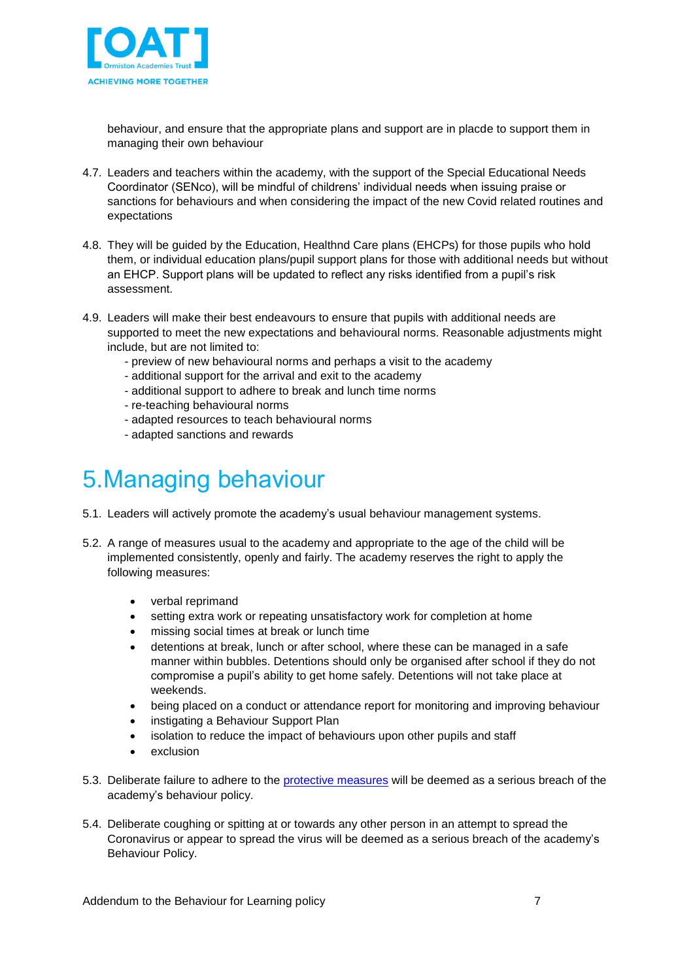

behaviour, and ensure that the appropriate plans and support are in placde to support them in managing their own behaviour

- 4.7. Leaders and teachers within the academy, with the support of the Special Educational Needs Coordinator (SENco), will be mindful of childrens' individual needs when issuing praise or sanctions for behaviours and when considering the impact of the new Covid related routines and expectations
- 4.8. They will be guided by the Education, Healthnd Care plans (EHCPs) for those pupils who hold them, or individual education plans/pupil support plans for those with additional needs but without an EHCP. Support plans will be updated to reflect any risks identified from a pupil's risk assessment.
- 4.9. Leaders will make their best endeavours to ensure that pupils with additional needs are supported to meet the new expectations and behavioural norms. Reasonable adjustments might include, but are not limited to:
	- preview of new behavioural norms and perhaps a visit to the academy
	- additional support for the arrival and exit to the academy
	- additional support to adhere to break and lunch time norms
	- re-teaching behavioural norms
	- adapted resources to teach behavioural norms
	- adapted sanctions and rewards

### 5.Managing behaviour

- 5.1. Leaders will actively promote the academy's usual behaviour management systems.
- 5.2. A range of measures usual to the academy and appropriate to the age of the child will be implemented consistently, openly and fairly. The academy reserves the right to apply the following measures:
	- verbal reprimand
	- setting extra work or repeating unsatisfactory work for completion at home
	- missing social times at break or lunch time
	- detentions at break, lunch or after school, where these can be managed in a safe manner within bubbles. Detentions should only be organised after school if they do not compromise a pupil's ability to get home safely. Detentions will not take place at weekends.
	- being placed on a conduct or attendance report for monitoring and improving behaviour
	- instigating a Behaviour Support Plan
	- isolation to reduce the impact of behaviours upon other pupils and staff
	- exclusion
- 5.3. Deliberate failure to adhere to the [protective measures](https://eur01.safelinks.protection.outlook.com/?url=https%3A%2F%2Fwww.gov.uk%2Fgovernment%2Fpublications%2Fcoronavirus-covid-19-implementing-protective-measures-in-education-and-childcare-settings%2Fcoronavirus-covid-19-implementing-protective-measures-in-education-and-childcare-settings&data=02%7C01%7Callan.glover%40staracademies.org%7C7abd76144b484ec2353308d7fb523d60%7Cad91cba8ab0a41f6ab6243cf47f82197%7C0%7C0%7C637254202946985902&sdata=w%2BqX9ACzfs%2FEhIKlZ2Tj0ShUpJHBOuUKdPrsiLSAzqc%3D&reserved=0) will be deemed as a serious breach of the academy's behaviour policy.
- 5.4. Deliberate coughing or spitting at or towards any other person in an attempt to spread the Coronavirus or appear to spread the virus will be deemed as a serious breach of the academy's Behaviour Policy.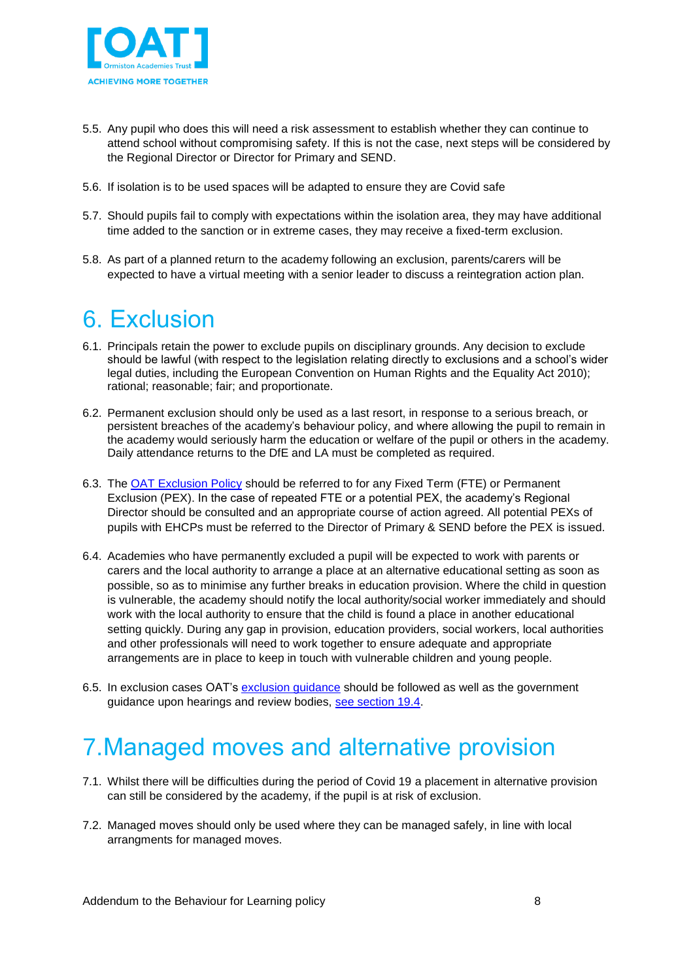

- 5.5. Any pupil who does this will need a risk assessment to establish whether they can continue to attend school without compromising safety. If this is not the case, next steps will be considered by the Regional Director or Director for Primary and SEND.
- 5.6. If isolation is to be used spaces will be adapted to ensure they are Covid safe
- 5.7. Should pupils fail to comply with expectations within the isolation area, they may have additional time added to the sanction or in extreme cases, they may receive a fixed-term exclusion.
- 5.8. As part of a planned return to the academy following an exclusion, parents/carers will be expected to have a virtual meeting with a senior leader to discuss a reintegration action plan.

### <span id="page-7-0"></span>6. Exclusion

- 6.1. Principals retain the power to exclude pupils on disciplinary grounds. Any decision to exclude should be lawful (with respect to the legislation relating directly to exclusions and a school's wider legal duties, including the European Convention on Human Rights and the Equality Act 2010); rational; reasonable; fair; and proportionate.
- 6.2. Permanent exclusion should only be used as a last resort, in response to a serious breach, or persistent breaches of the academy's behaviour policy, and where allowing the pupil to remain in the academy would seriously harm the education or welfare of the pupil or others in the academy. Daily attendance returns to the DfE and LA must be completed as required.
- 6.3. The [OAT Exclusion Policy](https://oatoe.sharepoint.com/:w:/r/sites/oatnet/governance/_layouts/15/Doc.aspx?sourcedoc=%7B6B8431C9-D983-4D77-B04C-4F24D6F1193C%7D&file=OAT%20Exclusion%20Policy%202018%20V3.docx&action=default&mobileredirect=true) should be referred to for any Fixed Term (FTE) or Permanent Exclusion (PEX). In the case of repeated FTE or a potential PEX, the academy's Regional Director should be consulted and an appropriate course of action agreed. All potential PEXs of pupils with EHCPs must be referred to the Director of Primary & SEND before the PEX is issued.
- 6.4. Academies who have permanently excluded a pupil will be expected to work with parents or carers and the local authority to arrange a place at an alternative educational setting as soon as possible, so as to minimise any further breaks in education provision. Where the child in question is vulnerable, the academy should notify the local authority/social worker immediately and should work with the local authority to ensure that the child is found a place in another educational setting quickly. During any gap in provision, education providers, social workers, local authorities and other professionals will need to work together to ensure adequate and appropriate arrangements are in place to keep in touch with vulnerable children and young people.
- 6.5. In exclusion cases OAT's [exclusion guidance](https://oatoe.sharepoint.com/:w:/r/sites/governance/Shared%20Documents/Governance%20meetings/Exclusions%20Panel%20Meeting%20Guidance.docx?d=w71cfc7c592204fb58ac79cedd8a761d1&csf=1&web=1&e=QDpV0B) should be followed as well as the government guidance upon hearings and review bodies, [see section 19.4.](https://www.gov.uk/government/publications/covid-19-school-closures/guidance-for-schools-about-temporarily-closing#contents)

### <span id="page-7-1"></span>7.Managed moves and alternative provision

- 7.1. Whilst there will be difficulties during the period of Covid 19 a placement in alternative provision can still be considered by the academy, if the pupil is at risk of exclusion.
- 7.2. Managed moves should only be used where they can be managed safely, in line with local arrangments for managed moves.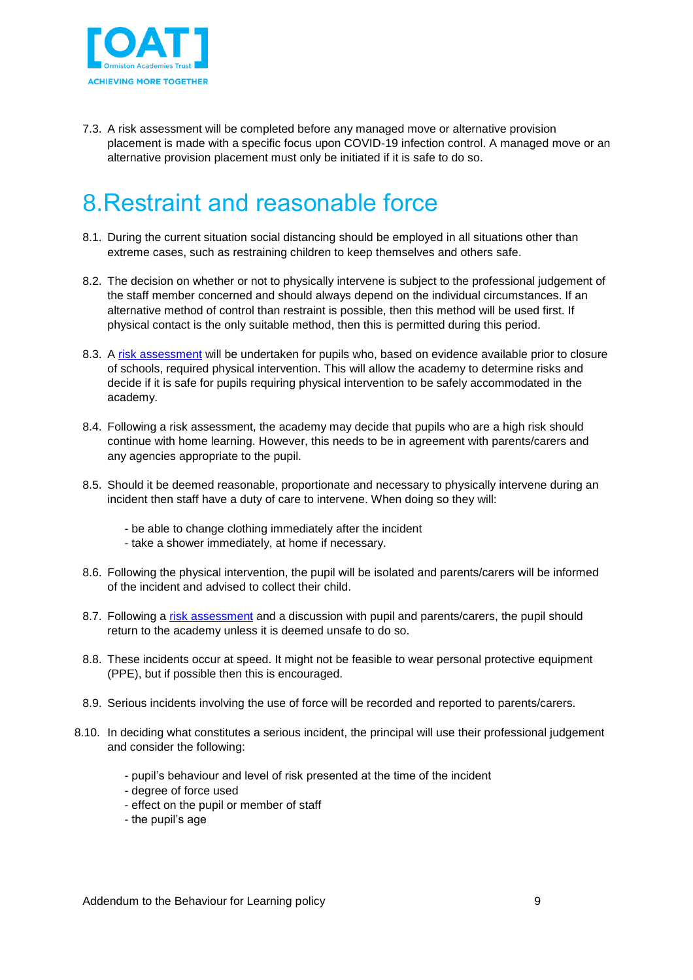

<span id="page-8-0"></span>7.3. A risk assessment will be completed before any managed move or alternative provision placement is made with a specific focus upon COVID-19 infection control. A managed move or an alternative provision placement must only be initiated if it is safe to do so.

## 8.Restraint and reasonable force

- 8.1. During the current situation social distancing should be employed in all situations other than extreme cases, such as restraining children to keep themselves and others safe.
- 8.2. The decision on whether or not to physically intervene is subject to the professional judgement of the staff member concerned and should always depend on the individual circumstances. If an alternative method of control than restraint is possible, then this method will be used first. If physical contact is the only suitable method, then this is permitted during this period.
- 8.3. A [risk assessment](https://oatoe.sharepoint.com/:x:/r/sites/governance/Shared%20Documents/Governance%20Guidance/Equality%20guidance/Pupils%20of%20concern%20risk%20assessment.xlsx?d=w62793519375e4af0979138d2d56e7ce2&csf=1&web=1&e=Z244uz) will be undertaken for pupils who, based on evidence available prior to closure of schools, required physical intervention. This will allow the academy to determine risks and decide if it is safe for pupils requiring physical intervention to be safely accommodated in the academy.
- 8.4. Following a risk assessment, the academy may decide that pupils who are a high risk should continue with home learning. However, this needs to be in agreement with parents/carers and any agencies appropriate to the pupil.
- 8.5. Should it be deemed reasonable, proportionate and necessary to physically intervene during an incident then staff have a duty of care to intervene. When doing so they will:
	- be able to change clothing immediately after the incident
	- take a shower immediately, at home if necessary.
- 8.6. Following the physical intervention, the pupil will be isolated and parents/carers will be informed of the incident and advised to collect their child.
- 8.7. Following a [risk assessment](https://oatoe.sharepoint.com/:x:/r/sites/governance/Shared%20Documents/Governance%20Guidance/Equality%20guidance/Pupils%20of%20concern%20risk%20assessment.xlsx?d=w62793519375e4af0979138d2d56e7ce2&csf=1&web=1&e=Z244uz) and a discussion with pupil and parents/carers, the pupil should return to the academy unless it is deemed unsafe to do so.
- 8.8. These incidents occur at speed. It might not be feasible to wear personal protective equipment (PPE), but if possible then this is encouraged.
- 8.9. Serious incidents involving the use of force will be recorded and reported to parents/carers.
- 8.10. In deciding what constitutes a serious incident, the principal will use their professional judgement and consider the following:
	- pupil's behaviour and level of risk presented at the time of the incident
	- degree of force used
	- effect on the pupil or member of staff
	- the pupil's age